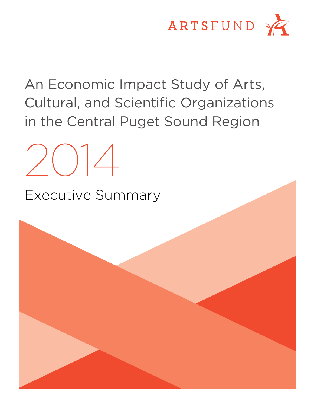

An Economic Impact Study of Arts, Cultural, and Scientific Organizations in the Central Puget Sound Region



Executive Summary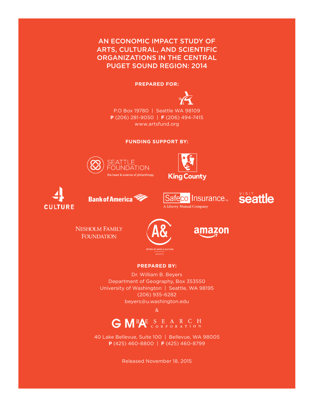## AN ECONOMIC IMPACT STUDY OF ARTS, CULTURAL, AND SCIENTIFIC ORGANIZATIONS IN THE CENTRAL PUGET SOUND REGION: 2014

#### **PREPARED FOR:**



P.O Box 19780 | Seattle WA 98109 **P** (206) 281-9050 | **F** (206) 494-7415 www.artsfund.org

**FUNDING SUPPORT BY:**





















### **PREPARED BY:**

Dr. William B. Beyers Department of Geography, Box 353550 University of Washington | Seattle, WA 98195 (206) 935-6282 beyers@u.washington.edu

&



40 Lake Bellevue, Suite 100 | Bellevue, WA 98005 **P** (425) 460-8800 | **F** (425) 460-8799

Released November 18, 2015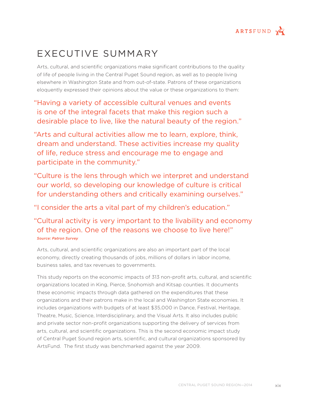

# EXECUTIVE SUMMARY

Arts, cultural, and scientific organizations make significant contributions to the quality of life of people living in the Central Puget Sound region, as well as to people living elsewhere in Washington State and from out-of-state. Patrons of these organizations eloquently expressed their opinions about the value or these organizations to them:

"Having a variety of accessible cultural venues and events is one of the integral facets that make this region such a desirable place to live, like the natural beauty of the region."

"Arts and cultural activities allow me to learn, explore, think, dream and understand. These activities increase my quality of life, reduce stress and encourage me to engage and participate in the community."

"Culture is the lens through which we interpret and understand our world, so developing our knowledge of culture is critical for understanding others and critically examining ourselves."

"I consider the arts a vital part of my children's education."

"Cultural activity is very important to the livability and economy of the region. One of the reasons we choose to live here!" *Source: Patron Survey*

Arts, cultural, and scientific organizations are also an important part of the local economy, directly creating thousands of jobs, millions of dollars in labor income, business sales, and tax revenues to governments.

This study reports on the economic impacts of 313 non-profit arts, cultural, and scientific organizations located in King, Pierce, Snohomish and Kitsap counties. It documents these economic impacts through data gathered on the expenditures that these organizations and their patrons make in the local and Washington State economies. It includes organizations with budgets of at least \$35,000 in Dance, Festival, Heritage, Theatre, Music, Science, Interdisciplinary, and the Visual Arts. It also includes public and private sector non-profit organizations supporting the delivery of services from arts, cultural, and scientific organizations. This is the second economic impact study of Central Puget Sound region arts, scientific, and cultural organizations sponsored by ArtsFund. The first study was benchmarked against the year 2009.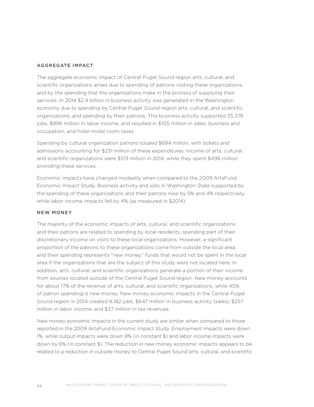#### AGGREGATE IMPACT

The aggregate economic impact of Central Puget Sound region arts, cultural, and scientific organizations arises due to spending of patrons visiting these organizations, and by the spending that the organizations make in the process of supplying their services. In 2014 \$2.4 billion in business activity was generated in the Washington economy due to spending by Central Puget Sound region arts, cultural, and scientific organizations, and spending by their patrons. This business activity supported 35,376 jobs, \$996 million in labor income, and resulted in \$105 million in sales, business and occupation, and hotel-motel room taxes.

Spending by cultural organization patrons totaled \$694 million, with tickets and admissions accounting for \$231 million of these expenditures. Income of arts, cultural, and scientific organizations were \$513 million in 2014, while they spent \$496 million providing these services.

Economic impacts have changed modestly when compared to the 2009 ArtsFund Economic Impact Study. Business activity and jobs in Washington State supported by the spending of these organizations and their patrons rose by 5% and 4% respectively, while labor income impacts fell by 4% (as measured in \$2014).

#### NEW MONEY

The majority of the economic impacts of arts, cultural, and scientific organizations and their patrons are related to spending by local residents, spending part of their discretionary income on visits to these local organizations. However, a significant proportion of the patrons to these organizations come from outside the local area, and their spending represents "new money," funds that would not be spent in the local area if the organizations that are the subject of this study were not located here. In addition, arts, cultural, and scientific organizations generate a portion of their income from sources located outside of the Central Puget Sound region. New money accounts for about 17% of the revenue of arts, cultural, and scientific organizations, while 45% of patron spending is new money. New money economic impacts in the Central Puget Sound region in 2014 created 8,182 jobs, \$647 million in business activity (sales), \$257 million in labor income, and \$37 million in tax revenues.

New money economic impacts in the current study are similar when compared to those reported in the 2009 ArtsFund Economic Impact Study. Employment impacts were down 1%, while output impacts were down 9% (in constant \$) and labor income impacts were down by 6% (in constant \$). The reduction in new money economic impacts appears to be related to a reduction in outside money to Central Puget Sound arts, cultural, and scientific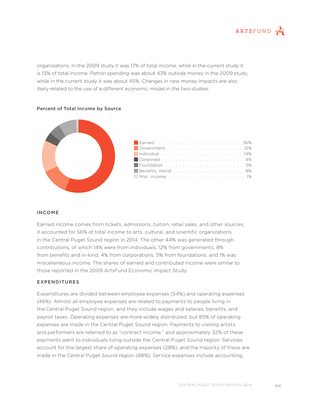

organizations. In the 2009 study it was 17% of total income, while in the current study it is 13% of total income. Patron spending was about 43% outside money in the 2009 study, while in the current study it was about 45%. Changes in new money impacts are also likely related to the use of a different economic model in the two studies.



#### Percent of Total Income by Source

#### INCOME

Earned income comes from tickets, admissions, tuition, retail sales, and other sources; it accounted for 56% of total income to arts, cultural, and scientific organizations in the Central Puget Sound region in 2014. The other 44% was generated through contributions, of which 14% were from individuals, 12% from governments, 8% from benefits and in-kind, 4% from corporations, 5% from foundations, and 1% was miscellaneous income. The shares of earned and contributed income were similar to those reported in the 2009 ArtsFund Economic Impact Study.

#### EXPENDITURES

Expenditures are divided between employee expenses (54%) and operating expenses (46%). Almost all employee expenses are related to payments to people living in the Central Puget Sound region, and they include wages and salaries, benefits, and payroll taxes. Operating expenses are more widely distributed, but 85% of operating expenses are made in the Central Puget Sound region. Payments to visiting artists and performers are referred to as "contract income," and approximately 32% of these payments went to individuals living outside the Central Puget Sound region. Services account for the largest share of operating expenses (28%), and the majority of these are made in the Central Puget Sound region (88%). Service expenses include accounting,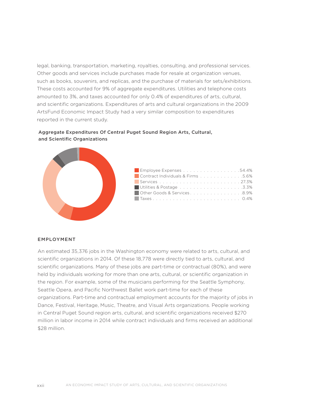legal, banking, transportation, marketing, royalties, consulting, and professional services. Other goods and services include purchases made for resale at organization venues, such as books, souvenirs, and replicas, and the purchase of materials for sets/exhibitions. These costs accounted for 9% of aggregate expenditures. Utilities and telephone costs amounted to 3%, and taxes accounted for only 0.4% of expenditures of arts, cultural, and scientific organizations. Expenditures of arts and cultural organizations in the 2009 ArtsFund Economic Impact Study had a very similar composition to expenditures reported in the current study.

### Aggregate Expenditures Of Central Puget Sound Region Arts, Cultural, and Scientific Organizations



#### EMPLOYMENT

An estimated 35,376 jobs in the Washington economy were related to arts, cultural, and scientific organizations in 2014. Of these 18,778 were directly tied to arts, cultural, and scientific organizations. Many of these jobs are part-time or contractual (80%), and were held by individuals working for more than one arts, cultural, or scientific organization in the region. For example, some of the musicians performing for the Seattle Symphony, Seattle Opera, and Pacific Northwest Ballet work part-time for each of these organizations. Part-time and contractual employment accounts for the majority of jobs in Dance, Festival, Heritage, Music, Theatre, and Visual Arts organizations. People working in Central Puget Sound region arts, cultural, and scientific organizations received \$270 million in labor income in 2014 while contract individuals and firms received an additional \$28 million.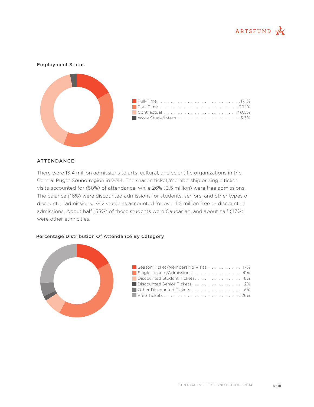



#### ATTENDANCE

There were 13.4 million admissions to arts, cultural, and scientific organizations in the Central Puget Sound region in 2014. The season ticket/membership or single ticket visits accounted for (58%) of attendance, while 26% (3.5 million) were free admissions. The balance (16%) were discounted admissions for students, seniors, and other types of discounted admissions. K-12 students accounted for over 1.2 million free or discounted admissions. About half (53%) of these students were Caucasian, and about half (47%) were other ethnicities.

#### Percentage Distribution Of Attendance By Category



| Season Ticket/Membership Visits 17% |  |
|-------------------------------------|--|
| Single Tickets/Admissions 41%       |  |
| Discounted Student Tickets. 8%      |  |
| Discounted Senior Tickets. 2%       |  |
| Other Discounted Tickets 6%         |  |
|                                     |  |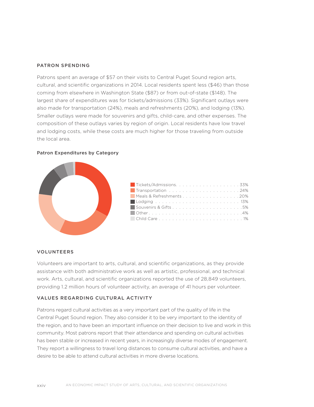#### PATRON SPENDING

Patrons spent an average of \$57 on their visits to Central Puget Sound region arts, cultural, and scientific organizations in 2014. Local residents spent less (\$46) than those coming from elsewhere in Washington State (\$87) or from out-of-state (\$148). The largest share of expenditures was for tickets/admissions (33%). Significant outlays were also made for transportation (24%), meals and refreshments (20%), and lodging (13%). Smaller outlays were made for souvenirs and gifts, child-care, and other expenses. The composition of these outlays varies by region of origin. Local residents have low travel and lodging costs, while these costs are much higher for those traveling from outside the local area.

#### Patron Expenditures by Category



| Meals & Refreshments 20% |  |
|--------------------------|--|
|                          |  |
| Souvenirs & Gifts5%      |  |
|                          |  |
|                          |  |

#### VOLUNTEERS

Volunteers are important to arts, cultural, and scientific organizations, as they provide assistance with both administrative work as well as artistic, professional, and technical work. Arts, cultural, and scientific organizations reported the use of 28,849 volunteers, providing 1.2 million hours of volunteer activity, an average of 41 hours per volunteer.

#### VALUES REGARDING CULTURAL ACTIVITY

Patrons regard cultural activities as a very important part of the quality of life in the Central Puget Sound region. They also consider it to be very important to the identity of the region, and to have been an important influence on their decision to live and work in this community. Most patrons report that their attendance and spending on cultural activities has been stable or increased in recent years, in increasingly diverse modes of engagement. They report a willingness to travel long distances to consume cultural activities, and have a desire to be able to attend cultural activities in more diverse locations.